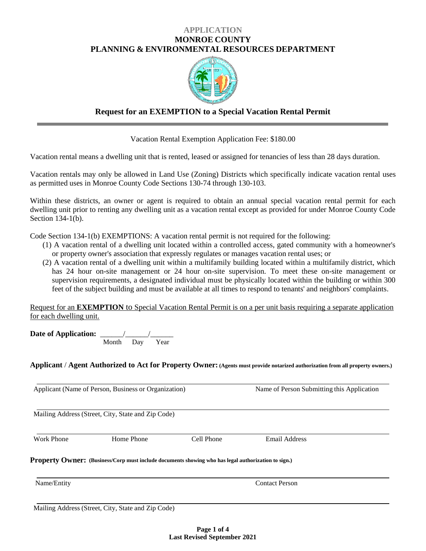### **APPLICATION MONROE COUNTY PLANNING & ENVIRONMENTAL RESOURCES DEPARTMENT**



## **Request for an EXEMPTION to a Special Vacation Rental Permit**

Vacation Rental Exemption Application Fee: \$180.00

Vacation rental means a dwelling unit that is rented, leased or assigned for tenancies of less than 28 days duration.

Vacation rentals may only be allowed in Land Use (Zoning) Districts which specifically indicate vacation rental uses as permitted uses in Monroe County Code Sections 130-74 through 130-103.

Within these districts, an owner or agent is required to obtain an annual special vacation rental permit for each dwelling unit prior to renting any dwelling unit as a vacation rental except as provided for under Monroe County Code Section 134-1(b).

Code Section 134-1(b) EXEMPTIONS: A vacation rental permit is not required for the following:

- (1) A vacation rental of a dwelling unit located within a controlled access, gated community with a homeowner's or property owner's association that expressly regulates or manages vacation rental uses; or
- (2) A vacation rental of a dwelling unit within a multifamily building located within a multifamily district, which has 24 hour on-site management or 24 hour on-site supervision. To meet these on-site management or supervision requirements, a designated individual must be physically located within the building or within 300 feet of the subject building and must be available at all times to respond to tenants' and neighbors' complaints.

Request for an **EXEMPTION** to Special Vacation Rental Permit is on a per unit basis requiring a separate application for each dwelling unit.

**Date of Application:**  $\frac{1}{\text{Month}} \frac{1}{\text{Day}} \frac{1}{\text{Year}}$  $\overline{$ Day

**Applicant** / **Agent Authorized to Act for Property Owner:(Agents must provide notarized authorization from all property owners.)**

| Applicant (Name of Person, Business or Organization) |                                                                                                            |            | Name of Person Submitting this Application |  |
|------------------------------------------------------|------------------------------------------------------------------------------------------------------------|------------|--------------------------------------------|--|
|                                                      | Mailing Address (Street, City, State and Zip Code)                                                         |            |                                            |  |
| <b>Work Phone</b>                                    | Home Phone                                                                                                 | Cell Phone | <b>Email Address</b>                       |  |
|                                                      | <b>Property Owner:</b> (Business/Corp must include documents showing who has legal authorization to sign.) |            |                                            |  |
| Name/Entity                                          | <b>Contact Person</b>                                                                                      |            |                                            |  |
|                                                      | Mailing Address (Street, City, State and Zip Code)                                                         |            |                                            |  |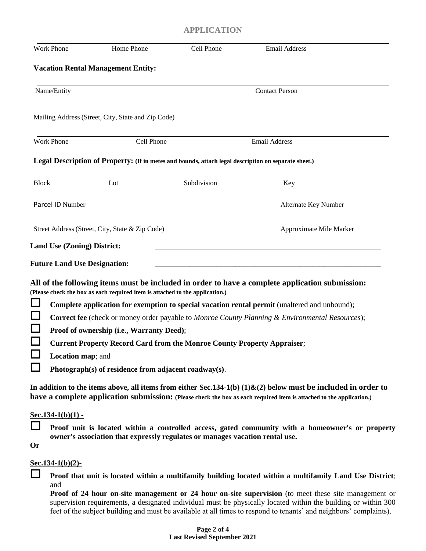# **APPLICATION**

| <b>Work Phone</b>   | Home Phone                                                                                           | Cell Phone                                                                                             | <b>Email Address</b>                                                                                                                                                                                                                     |  |  |
|---------------------|------------------------------------------------------------------------------------------------------|--------------------------------------------------------------------------------------------------------|------------------------------------------------------------------------------------------------------------------------------------------------------------------------------------------------------------------------------------------|--|--|
|                     | <b>Vacation Rental Management Entity:</b>                                                            |                                                                                                        |                                                                                                                                                                                                                                          |  |  |
| Name/Entity         |                                                                                                      |                                                                                                        | <b>Contact Person</b>                                                                                                                                                                                                                    |  |  |
|                     | Mailing Address (Street, City, State and Zip Code)                                                   |                                                                                                        |                                                                                                                                                                                                                                          |  |  |
| <b>Work Phone</b>   | Cell Phone                                                                                           |                                                                                                        | <b>Email Address</b>                                                                                                                                                                                                                     |  |  |
|                     | Legal Description of Property: (If in metes and bounds, attach legal description on separate sheet.) |                                                                                                        |                                                                                                                                                                                                                                          |  |  |
| <b>Block</b>        | Lot                                                                                                  | Subdivision                                                                                            | Key                                                                                                                                                                                                                                      |  |  |
| Parcel ID Number    |                                                                                                      |                                                                                                        | Alternate Key Number                                                                                                                                                                                                                     |  |  |
|                     | Street Address (Street, City, State & Zip Code)                                                      |                                                                                                        | Approximate Mile Marker                                                                                                                                                                                                                  |  |  |
|                     |                                                                                                      |                                                                                                        |                                                                                                                                                                                                                                          |  |  |
|                     | <b>Land Use (Zoning) District:</b>                                                                   |                                                                                                        |                                                                                                                                                                                                                                          |  |  |
|                     | <b>Future Land Use Designation:</b>                                                                  |                                                                                                        |                                                                                                                                                                                                                                          |  |  |
|                     | (Please check the box as each required item is attached to the application.)                         |                                                                                                        | All of the following items must be included in order to have a complete application submission:                                                                                                                                          |  |  |
|                     |                                                                                                      |                                                                                                        | Complete application for exemption to special vacation rental permit (unaltered and unbound);                                                                                                                                            |  |  |
|                     |                                                                                                      | <b>Correct fee</b> (check or money order payable to Monroe County Planning & Environmental Resources); |                                                                                                                                                                                                                                          |  |  |
|                     | Proof of ownership (i.e., Warranty Deed);                                                            |                                                                                                        |                                                                                                                                                                                                                                          |  |  |
|                     | <b>Current Property Record Card from the Monroe County Property Appraiser;</b>                       |                                                                                                        |                                                                                                                                                                                                                                          |  |  |
|                     | Location map; and                                                                                    |                                                                                                        |                                                                                                                                                                                                                                          |  |  |
|                     | Photograph(s) of residence from adjacent roadway(s).                                                 |                                                                                                        |                                                                                                                                                                                                                                          |  |  |
|                     |                                                                                                      |                                                                                                        | In addition to the items above, all items from either Sec.134-1(b) $(1)$ &(2) below must be included in order to<br>have a complete application submission: (Please check the box as each required item is attached to the application.) |  |  |
| $Sec.134-1(b)(1) -$ |                                                                                                      |                                                                                                        |                                                                                                                                                                                                                                          |  |  |
| <b>Or</b>           | owner's association that expressly regulates or manages vacation rental use.                         |                                                                                                        | Proof unit is located within a controlled access, gated community with a homeowner's or property                                                                                                                                         |  |  |
|                     |                                                                                                      |                                                                                                        |                                                                                                                                                                                                                                          |  |  |
| $Sec.134-1(b)(2)$ - |                                                                                                      |                                                                                                        |                                                                                                                                                                                                                                          |  |  |
| and                 |                                                                                                      |                                                                                                        | Proof that unit is located within a multifamily building located within a multifamily Land Use District;                                                                                                                                 |  |  |
|                     |                                                                                                      |                                                                                                        | <b>Proof of 24 hour on-site management or 24 hour on-site supervision</b> (to meet these site management or                                                                                                                              |  |  |

supervision requirements, a designated individual must be physically located within the building or within 300 feet of the subject building and must be available at all times to respond to tenants' and neighbors' complaints).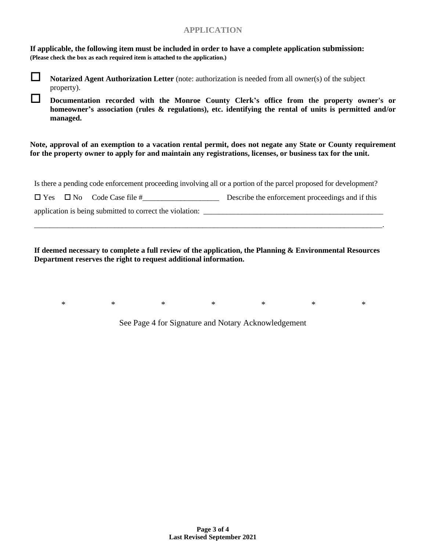## **APPLICATION**

**If applicable, the following item must be included in order to have a complete application submission: (Please check the box as each required item is attached to the application.)**



 **Documentation recorded with the Monroe County Clerk's office from the property owner's or homeowner's association (rules & regulations), etc. identifying the rental of units is permitted and/or managed.**

**Note, approval of an exemption to a vacation rental permit, does not negate any State or County requirement for the property owner to apply for and maintain any registrations, licenses, or business tax for the unit.**

Is there a pending code enforcement proceeding involving all or a portion of the parcel proposed for development?

 $\Box$  Yes  $\Box$  No Code Case file  $\#$  Describe the enforcement proceedings and if this

application is being submitted to correct the violation: \_\_\_\_\_\_\_\_\_\_\_\_\_\_\_\_\_\_\_\_\_\_\_\_\_\_\_\_\_\_\_\_\_\_\_\_\_\_\_\_\_\_\_\_\_\_\_

**If deemed necessary to complete a full review of the application, the Planning & Environmental Resources Department reserves the right to request additional information.**

\_\_\_\_\_\_\_\_\_\_\_\_\_\_\_\_\_\_\_\_\_\_\_\_\_\_\_\_\_\_\_\_\_\_\_\_\_\_\_\_\_\_\_\_\_\_\_\_\_\_\_\_\_\_\_\_\_\_\_\_\_\_\_\_\_\_\_\_\_\_\_\_\_\_\_\_\_\_\_\_\_\_\_\_\_\_\_\_\_\_\_.

\* \* \* \* \* \* \* \* \* \*

See Page 4 for Signature and Notary Acknowledgement